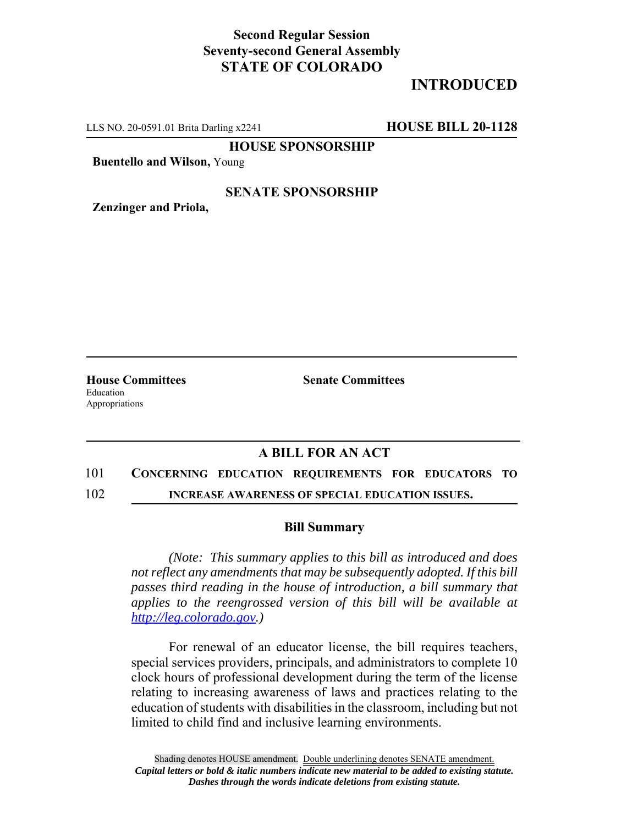## **Second Regular Session Seventy-second General Assembly STATE OF COLORADO**

## **INTRODUCED**

LLS NO. 20-0591.01 Brita Darling x2241 **HOUSE BILL 20-1128**

**HOUSE SPONSORSHIP**

**Buentello and Wilson,** Young

### **SENATE SPONSORSHIP**

**Zenzinger and Priola,**

Education Appropriations

**House Committees Senate Committees** 

## **A BILL FOR AN ACT**

### 101 **CONCERNING EDUCATION REQUIREMENTS FOR EDUCATORS TO**

102 **INCREASE AWARENESS OF SPECIAL EDUCATION ISSUES.**

#### **Bill Summary**

*(Note: This summary applies to this bill as introduced and does not reflect any amendments that may be subsequently adopted. If this bill passes third reading in the house of introduction, a bill summary that applies to the reengrossed version of this bill will be available at http://leg.colorado.gov.)*

For renewal of an educator license, the bill requires teachers, special services providers, principals, and administrators to complete 10 clock hours of professional development during the term of the license relating to increasing awareness of laws and practices relating to the education of students with disabilities in the classroom, including but not limited to child find and inclusive learning environments.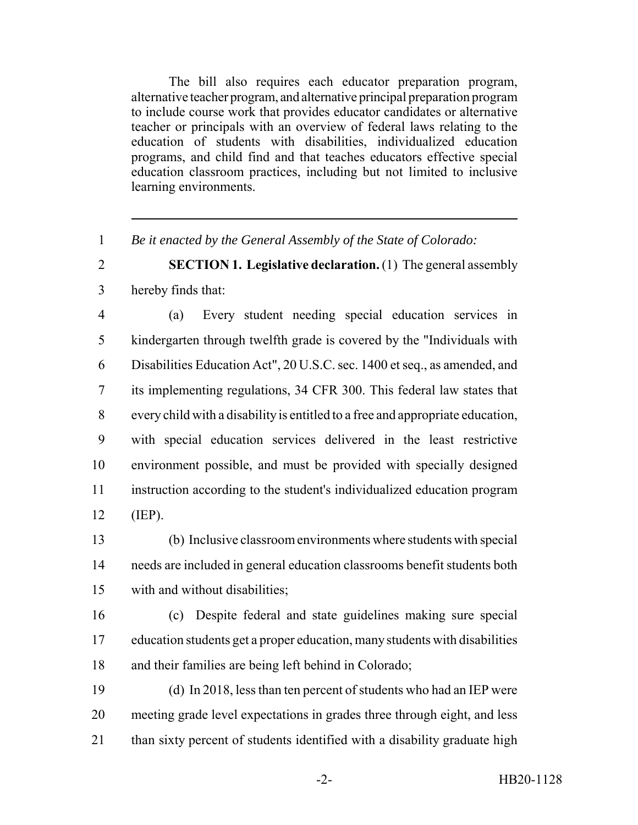The bill also requires each educator preparation program, alternative teacher program, and alternative principal preparation program to include course work that provides educator candidates or alternative teacher or principals with an overview of federal laws relating to the education of students with disabilities, individualized education programs, and child find and that teaches educators effective special education classroom practices, including but not limited to inclusive learning environments.

*Be it enacted by the General Assembly of the State of Colorado:*

# **SECTION 1. Legislative declaration.** (1) The general assembly hereby finds that:

 (a) Every student needing special education services in kindergarten through twelfth grade is covered by the "Individuals with Disabilities Education Act", 20 U.S.C. sec. 1400 et seq., as amended, and its implementing regulations, 34 CFR 300. This federal law states that every child with a disability is entitled to a free and appropriate education, with special education services delivered in the least restrictive environment possible, and must be provided with specially designed instruction according to the student's individualized education program (IEP).

 (b) Inclusive classroom environments where students with special needs are included in general education classrooms benefit students both with and without disabilities;

 (c) Despite federal and state guidelines making sure special education students get a proper education, many students with disabilities and their families are being left behind in Colorado;

 (d) In 2018, less than ten percent of students who had an IEP were meeting grade level expectations in grades three through eight, and less 21 than sixty percent of students identified with a disability graduate high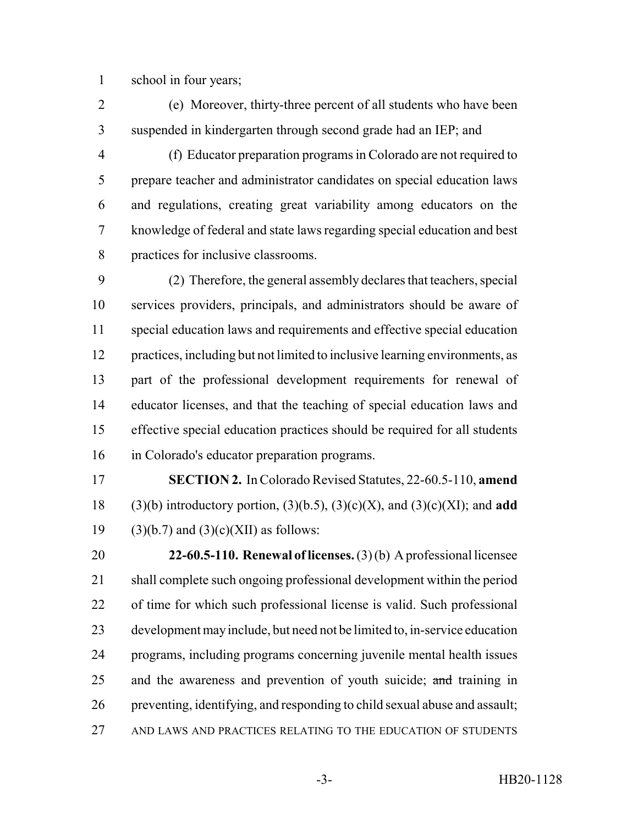school in four years;

- (e) Moreover, thirty-three percent of all students who have been suspended in kindergarten through second grade had an IEP; and
- (f) Educator preparation programs in Colorado are not required to prepare teacher and administrator candidates on special education laws and regulations, creating great variability among educators on the knowledge of federal and state laws regarding special education and best practices for inclusive classrooms.

 (2) Therefore, the general assembly declares that teachers, special services providers, principals, and administrators should be aware of special education laws and requirements and effective special education practices, including but not limited to inclusive learning environments, as part of the professional development requirements for renewal of educator licenses, and that the teaching of special education laws and effective special education practices should be required for all students in Colorado's educator preparation programs.

 **SECTION 2.** In Colorado Revised Statutes, 22-60.5-110, **amend** 18 (3)(b) introductory portion,  $(3)(b.5)$ ,  $(3)(c)(X)$ , and  $(3)(c)(XI)$ ; and **add** 19 (3)(b.7) and (3)(c)(XII) as follows:

 **22-60.5-110. Renewal of licenses.** (3) (b) A professional licensee shall complete such ongoing professional development within the period of time for which such professional license is valid. Such professional development may include, but need not be limited to, in-service education programs, including programs concerning juvenile mental health issues 25 and the awareness and prevention of youth suicide; and training in preventing, identifying, and responding to child sexual abuse and assault; AND LAWS AND PRACTICES RELATING TO THE EDUCATION OF STUDENTS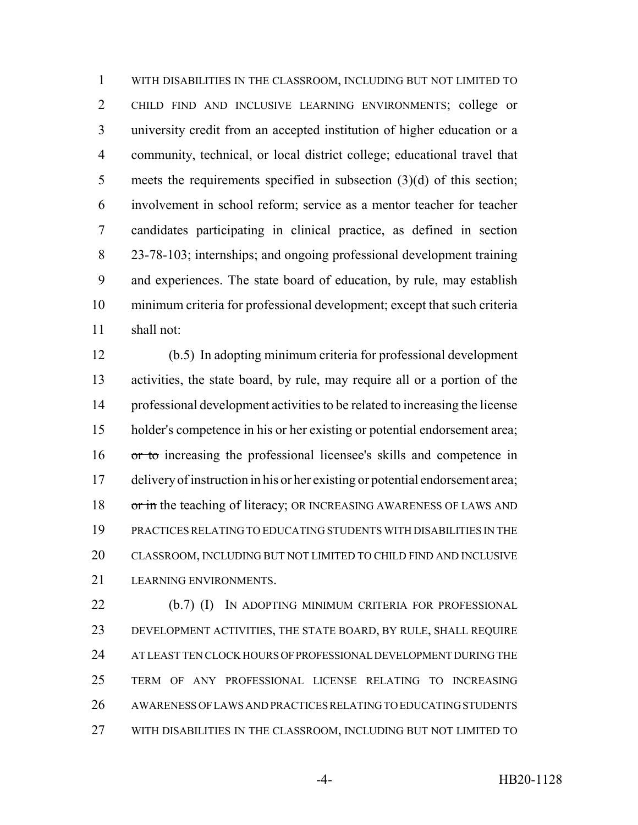WITH DISABILITIES IN THE CLASSROOM, INCLUDING BUT NOT LIMITED TO CHILD FIND AND INCLUSIVE LEARNING ENVIRONMENTS; college or university credit from an accepted institution of higher education or a community, technical, or local district college; educational travel that meets the requirements specified in subsection (3)(d) of this section; involvement in school reform; service as a mentor teacher for teacher candidates participating in clinical practice, as defined in section 23-78-103; internships; and ongoing professional development training and experiences. The state board of education, by rule, may establish minimum criteria for professional development; except that such criteria shall not:

 (b.5) In adopting minimum criteria for professional development activities, the state board, by rule, may require all or a portion of the professional development activities to be related to increasing the license holder's competence in his or her existing or potential endorsement area; or to increasing the professional licensee's skills and competence in delivery of instruction in his or her existing or potential endorsement area; 18 or in the teaching of literacy; OR INCREASING AWARENESS OF LAWS AND PRACTICES RELATING TO EDUCATING STUDENTS WITH DISABILITIES IN THE CLASSROOM, INCLUDING BUT NOT LIMITED TO CHILD FIND AND INCLUSIVE LEARNING ENVIRONMENTS.

 (b.7) (I) IN ADOPTING MINIMUM CRITERIA FOR PROFESSIONAL DEVELOPMENT ACTIVITIES, THE STATE BOARD, BY RULE, SHALL REQUIRE AT LEAST TEN CLOCK HOURS OF PROFESSIONAL DEVELOPMENT DURING THE TERM OF ANY PROFESSIONAL LICENSE RELATING TO INCREASING AWARENESS OF LAWS AND PRACTICES RELATING TO EDUCATING STUDENTS WITH DISABILITIES IN THE CLASSROOM, INCLUDING BUT NOT LIMITED TO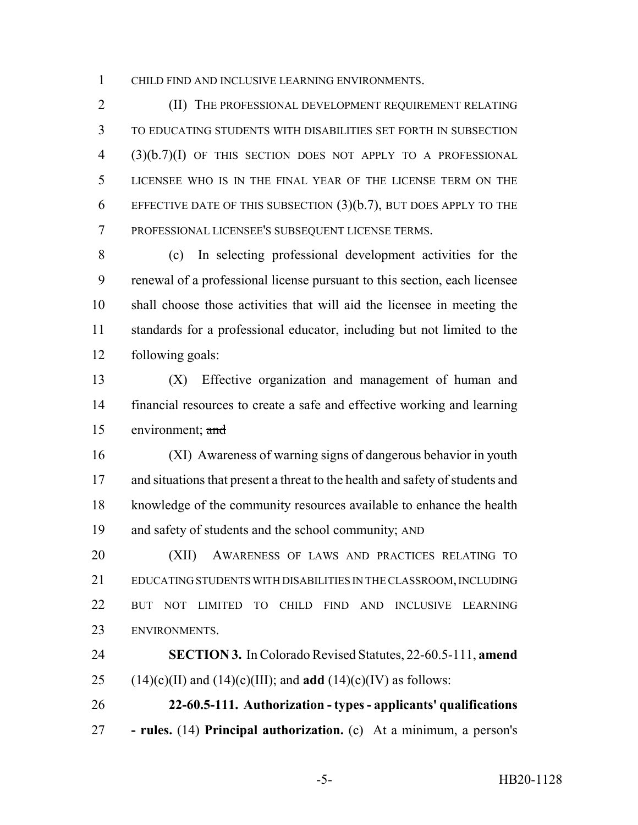CHILD FIND AND INCLUSIVE LEARNING ENVIRONMENTS.

2 (II) THE PROFESSIONAL DEVELOPMENT REQUIREMENT RELATING TO EDUCATING STUDENTS WITH DISABILITIES SET FORTH IN SUBSECTION (3)(b.7)(I) OF THIS SECTION DOES NOT APPLY TO A PROFESSIONAL LICENSEE WHO IS IN THE FINAL YEAR OF THE LICENSE TERM ON THE EFFECTIVE DATE OF THIS SUBSECTION (3)(b.7), BUT DOES APPLY TO THE PROFESSIONAL LICENSEE'S SUBSEQUENT LICENSE TERMS.

 (c) In selecting professional development activities for the renewal of a professional license pursuant to this section, each licensee shall choose those activities that will aid the licensee in meeting the standards for a professional educator, including but not limited to the following goals:

 (X) Effective organization and management of human and financial resources to create a safe and effective working and learning environment; and

 (XI) Awareness of warning signs of dangerous behavior in youth and situations that present a threat to the health and safety of students and knowledge of the community resources available to enhance the health and safety of students and the school community; AND

 (XII) AWARENESS OF LAWS AND PRACTICES RELATING TO EDUCATING STUDENTS WITH DISABILITIES IN THE CLASSROOM, INCLUDING BUT NOT LIMITED TO CHILD FIND AND INCLUSIVE LEARNING ENVIRONMENTS.

 **SECTION 3.** In Colorado Revised Statutes, 22-60.5-111, **amend** 25 (14)(c)(II) and (14)(c)(III); and **add** (14)(c)(IV) as follows:

 **22-60.5-111. Authorization - types - applicants' qualifications - rules.** (14) **Principal authorization.** (c) At a minimum, a person's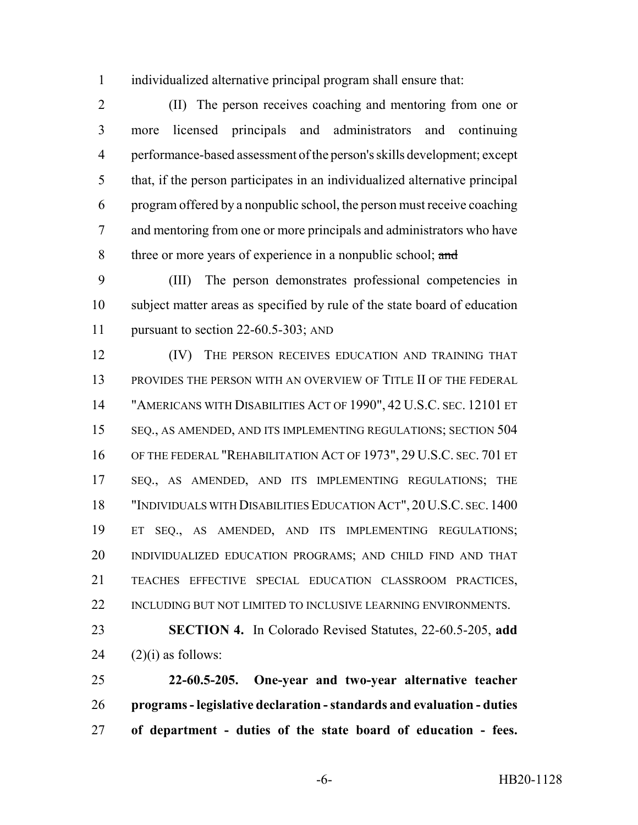individualized alternative principal program shall ensure that:

 (II) The person receives coaching and mentoring from one or more licensed principals and administrators and continuing performance-based assessment of the person's skills development; except that, if the person participates in an individualized alternative principal program offered by a nonpublic school, the person must receive coaching and mentoring from one or more principals and administrators who have 8 three or more years of experience in a nonpublic school; and

 (III) The person demonstrates professional competencies in subject matter areas as specified by rule of the state board of education 11 pursuant to section 22-60.5-303; AND

**IV)** THE PERSON RECEIVES EDUCATION AND TRAINING THAT 13 PROVIDES THE PERSON WITH AN OVERVIEW OF TITLE II OF THE FEDERAL "AMERICANS WITH DISABILITIES ACT OF 1990", 42 U.S.C. SEC. 12101 ET SEQ., AS AMENDED, AND ITS IMPLEMENTING REGULATIONS; SECTION 504 OF THE FEDERAL "REHABILITATION ACT OF 1973", 29 U.S.C. SEC. 701 ET SEQ., AS AMENDED, AND ITS IMPLEMENTING REGULATIONS; THE "INDIVIDUALS WITH DISABILITIES EDUCATION ACT", 20U.S.C. SEC. 1400 ET SEQ., AS AMENDED, AND ITS IMPLEMENTING REGULATIONS; INDIVIDUALIZED EDUCATION PROGRAMS; AND CHILD FIND AND THAT TEACHES EFFECTIVE SPECIAL EDUCATION CLASSROOM PRACTICES, 22 INCLUDING BUT NOT LIMITED TO INCLUSIVE LEARNING ENVIRONMENTS.

 **SECTION 4.** In Colorado Revised Statutes, 22-60.5-205, **add** (2)(i) as follows:

 **22-60.5-205. One-year and two-year alternative teacher programs - legislative declaration - standards and evaluation - duties of department - duties of the state board of education - fees.**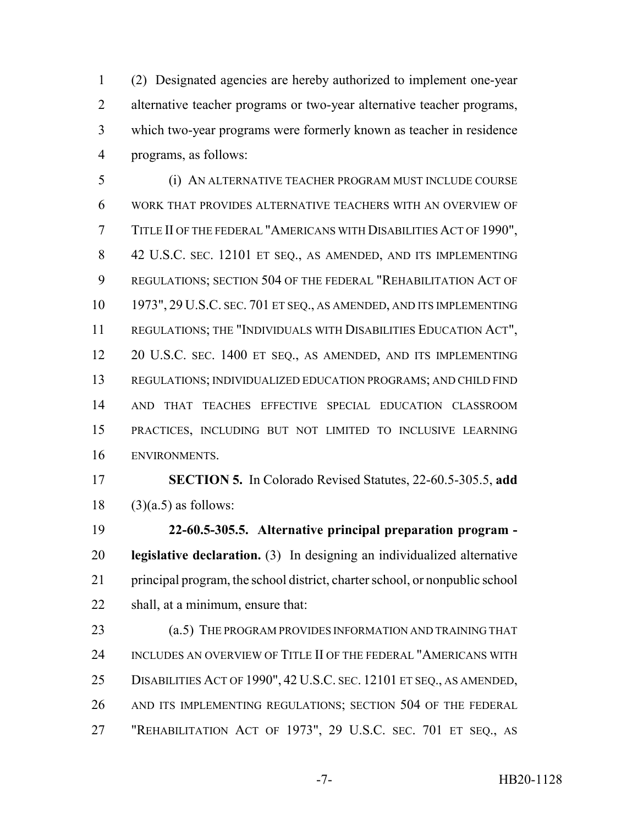(2) Designated agencies are hereby authorized to implement one-year alternative teacher programs or two-year alternative teacher programs, which two-year programs were formerly known as teacher in residence programs, as follows:

 (i) AN ALTERNATIVE TEACHER PROGRAM MUST INCLUDE COURSE WORK THAT PROVIDES ALTERNATIVE TEACHERS WITH AN OVERVIEW OF TITLE II OF THE FEDERAL "AMERICANS WITH DISABILITIES ACT OF 1990", 42 U.S.C. SEC. 12101 ET SEQ., AS AMENDED, AND ITS IMPLEMENTING REGULATIONS; SECTION 504 OF THE FEDERAL "REHABILITATION ACT OF 1973", 29 U.S.C. SEC. 701 ET SEQ., AS AMENDED, AND ITS IMPLEMENTING REGULATIONS; THE "INDIVIDUALS WITH DISABILITIES EDUCATION ACT", 20 U.S.C. SEC. 1400 ET SEQ., AS AMENDED, AND ITS IMPLEMENTING REGULATIONS; INDIVIDUALIZED EDUCATION PROGRAMS; AND CHILD FIND AND THAT TEACHES EFFECTIVE SPECIAL EDUCATION CLASSROOM PRACTICES, INCLUDING BUT NOT LIMITED TO INCLUSIVE LEARNING ENVIRONMENTS.

 **SECTION 5.** In Colorado Revised Statutes, 22-60.5-305.5, **add** (3)(a.5) as follows:

 **22-60.5-305.5. Alternative principal preparation program - legislative declaration.** (3) In designing an individualized alternative principal program, the school district, charter school, or nonpublic school shall, at a minimum, ensure that:

23 (a.5) THE PROGRAM PROVIDES INFORMATION AND TRAINING THAT INCLUDES AN OVERVIEW OF TITLE II OF THE FEDERAL "AMERICANS WITH DISABILITIES ACT OF 1990", 42 U.S.C. SEC. 12101 ET SEQ., AS AMENDED, AND ITS IMPLEMENTING REGULATIONS; SECTION 504 OF THE FEDERAL "REHABILITATION ACT OF 1973", 29 U.S.C. SEC. 701 ET SEQ., AS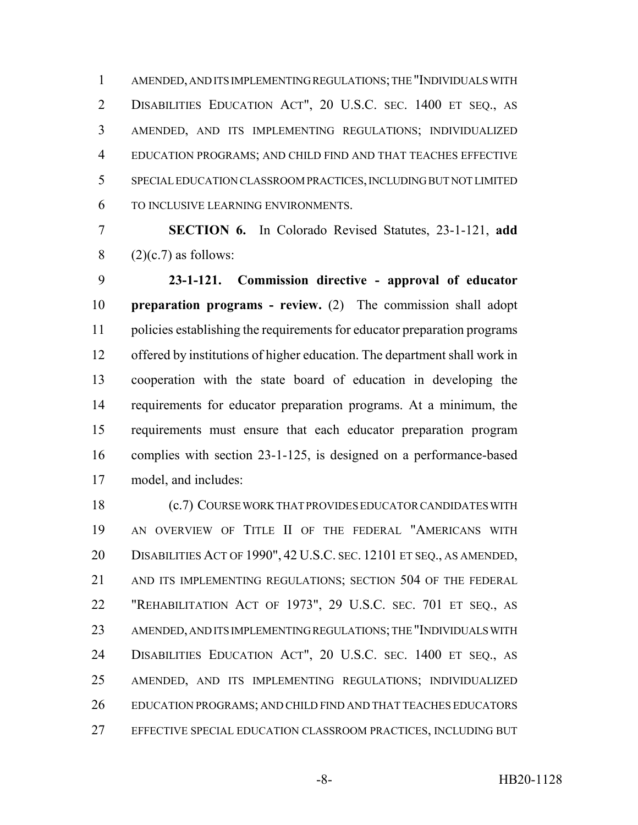AMENDED, AND ITS IMPLEMENTING REGULATIONS; THE "INDIVIDUALS WITH DISABILITIES EDUCATION ACT", 20 U.S.C. SEC. 1400 ET SEQ., AS AMENDED, AND ITS IMPLEMENTING REGULATIONS; INDIVIDUALIZED EDUCATION PROGRAMS; AND CHILD FIND AND THAT TEACHES EFFECTIVE SPECIAL EDUCATION CLASSROOM PRACTICES, INCLUDING BUT NOT LIMITED TO INCLUSIVE LEARNING ENVIRONMENTS.

 **SECTION 6.** In Colorado Revised Statutes, 23-1-121, **add** 8  $(2)(c.7)$  as follows:

 **23-1-121. Commission directive - approval of educator preparation programs - review.** (2) The commission shall adopt policies establishing the requirements for educator preparation programs offered by institutions of higher education. The department shall work in cooperation with the state board of education in developing the requirements for educator preparation programs. At a minimum, the requirements must ensure that each educator preparation program complies with section 23-1-125, is designed on a performance-based model, and includes:

 (c.7) COURSE WORK THAT PROVIDES EDUCATOR CANDIDATES WITH AN OVERVIEW OF TITLE II OF THE FEDERAL "AMERICANS WITH DISABILITIES ACT OF 1990", 42 U.S.C. SEC. 12101 ET SEQ., AS AMENDED, AND ITS IMPLEMENTING REGULATIONS; SECTION 504 OF THE FEDERAL "REHABILITATION ACT OF 1973", 29 U.S.C. SEC. 701 ET SEQ., AS AMENDED, AND ITS IMPLEMENTING REGULATIONS; THE "INDIVIDUALS WITH DISABILITIES EDUCATION ACT", 20 U.S.C. SEC. 1400 ET SEQ., AS AMENDED, AND ITS IMPLEMENTING REGULATIONS; INDIVIDUALIZED EDUCATION PROGRAMS; AND CHILD FIND AND THAT TEACHES EDUCATORS EFFECTIVE SPECIAL EDUCATION CLASSROOM PRACTICES, INCLUDING BUT